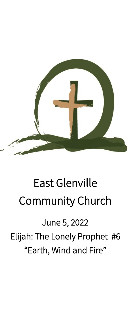

# East Glenville Community Church

June 5, 2022 Elijah: The Lonely Prophet #6 "Earth, Wind and Fire"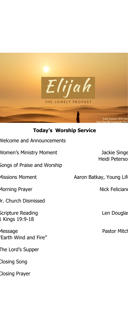

# **Today's Worship Service**

| <b>Nelcome and Announcements</b> |  |
|----------------------------------|--|
|----------------------------------|--|

Women's Ministry Moment **Algebra 12 and 13 Jackie Singer** 

Songs of Praise and Worship

Morning Prayer Nick Feliciano

Jr. Church Dismissed

Scripture Reading and a series of the Len Douglas 1 Kings 19:9-18

Message **Pastor Mitch Pastor Mitch** "Earth Wind and Fire"

The Lord's Supper

Closing Song

Closing Prayer

Heidi Peterso

Missions Moment **Aaron Batkay, Young Lift**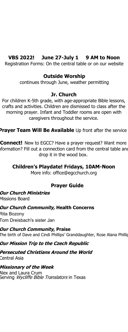# **VBS 2022! June 27-July 1 9 AM to Noon**

Registration Forms: On the central table or on our website

#### **Outside Worship**

continues through June, weather permitting

#### **Jr. Church**

For children K-5th grade, with age-appropriate Bible lessons, crafts and activities. Children are dismissed to class after the morning prayer. Infant and Toddler rooms are open with caregivers throughout the service.

**Prayer Team Will Be Available** Up front after the service

**Connect!** New to EGCC? Have a prayer request? Want more iformation? Fill out a connection card from the central table and drop it in the wood box.

# **Children's Playdate! Fridays, 10AM-Noon**

More info: office@egcchurch.org

# **Prayer Guide**

# **Our Church Ministries**

Missions Board

#### **Our Church Community, Health Concerns**

Rita Bozony Tom Dreisbach's sister Jan

# **Our Church Community, Praise**

The birth of Dave and Cindi Phillips' Granddaughter, Rose Alana Phillip

#### **Our Mission Trip to the Czech Republic**

**Persecuted Christians Around the World** Central Asia

#### **Missionary of the Week**

Alex and Laura Crum Serving *Wycliffe Bible Translators* in Texas